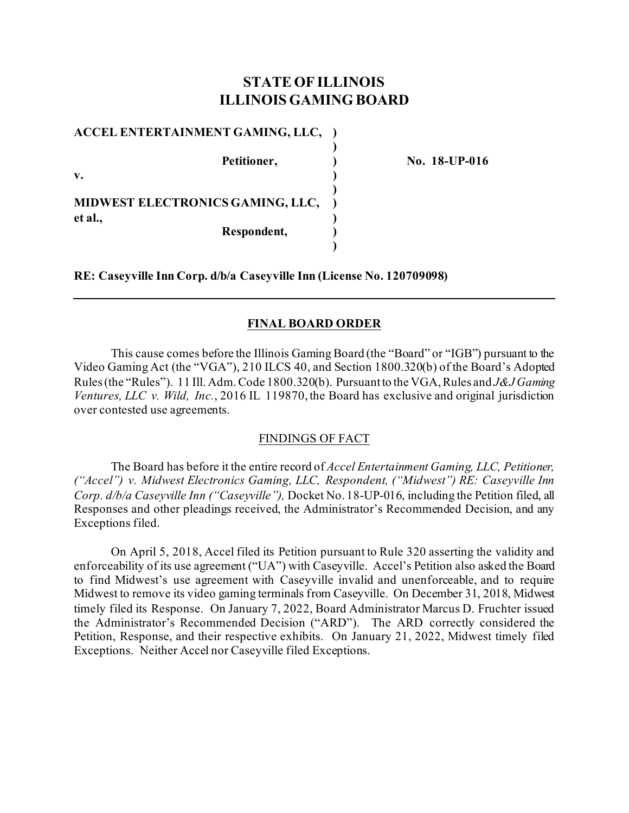# **STATE OF ILLINOIS ILLINOIS GAMING BOARD**

**)**

**)**

**)**

**ACCEL ENTERTAINMENT GAMING, LLC, )**

**v. ) MIDWEST ELECTRONICS GAMING, LLC, ) et al., )**

**Respondent, )**

**Petitioner, ) No. 18-UP-016**

**RE: Caseyville Inn Corp. d/b/a Caseyville Inn (License No. 120709098)**

## **FINAL BOARD ORDER**

This cause comes before the Illinois Gaming Board (the "Board" or "IGB") pursuant to the Video Gaming Act (the "VGA"), 210 ILCS 40, and Section 1800.320(b) of the Board's Adopted Rules (the "Rules"). 11 Ill. Adm. Code 1800.320(b). Pursuant to the VGA, Rules and *J&J Gaming Ventures, LLC v. Wild, Inc.*, 2016 IL 119870, the Board has exclusive and original jurisdiction over contested use agreements.

## FINDINGS OF FACT

The Board has before it the entire record of *Accel Entertainment Gaming, LLC, Petitioner, ("Accel") v. Midwest Electronics Gaming, LLC, Respondent, ("Midwest") RE: Caseyville Inn Corp. d/b/a Caseyville Inn ("Caseyville"),* Docket No. 18-UP-016, including the Petition filed, all Responses and other pleadings received, the Administrator's Recommended Decision, and any Exceptions filed.

On April 5, 2018, Accel filed its Petition pursuant to Rule 320 asserting the validity and enforceability of its use agreement ("UA") with Caseyville. Accel's Petition also asked the Board to find Midwest's use agreement with Caseyville invalid and unenforceable, and to require Midwest to remove its video gaming terminals from Caseyville. On December 31, 2018, Midwest timely filed its Response. On January 7, 2022, Board Administrator Marcus D. Fruchter issued the Administrator's Recommended Decision ("ARD"). The ARD correctly considered the Petition, Response, and their respective exhibits. On January 21, 2022, Midwest timely filed Exceptions. Neither Accel nor Caseyville filed Exceptions.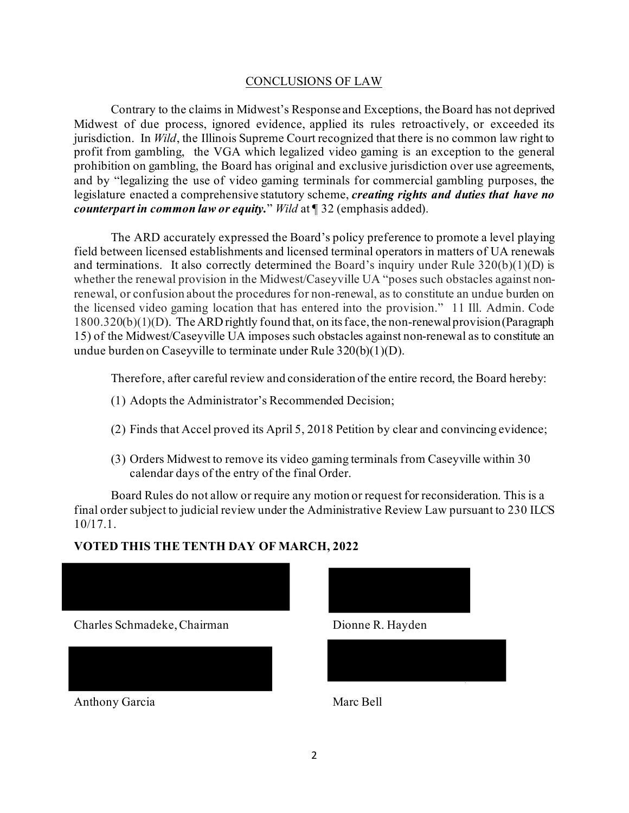### CONCLUSIONS OF LAW

Contrary to the claims in Midwest's Response and Exceptions, the Board has not deprived Midwest of due process, ignored evidence, applied its rules retroactively, or exceeded its jurisdiction. In *Wild*, the Illinois Supreme Court recognized that there is no common law right to profit from gambling, the VGA which legalized video gaming is an exception to the general prohibition on gambling, the Board has original and exclusive jurisdiction over use agreements, and by "legalizing the use of video gaming terminals for commercial gambling purposes, the legislature enacted a comprehensive statutory scheme, *creating rights and duties that have no counterpart in common law or equity.*" *Wild* at ¶ 32 (emphasis added).

The ARD accurately expressed the Board's policy preference to promote a level playing field between licensed establishments and licensed terminal operators in matters of UA renewals and terminations. It also correctly determined the Board's inquiry under Rule  $320(b)(1)(D)$  is whether the renewal provision in the Midwest/Caseyville UA "poses such obstacles against nonrenewal, or confusion about the procedures for non-renewal, as to constitute an undue burden on the licensed video gaming location that has entered into the provision." 11 Ill. Admin. Code 1800.320(b)(1)(D). The ARD rightly found that, on its face, the non-renewal provision (Paragraph 15) of the Midwest/Caseyville UA imposes such obstacles against non-renewal as to constitute an undue burden on Caseyville to terminate under Rule 320(b)(1)(D).

Therefore, after careful review and consideration of the entire record, the Board hereby:

- (1) Adopts the Administrator's Recommended Decision;
- (2) Finds that Accel proved its April 5, 2018 Petition by clear and convincing evidence;
- (3) Orders Midwest to remove its video gaming terminals from Caseyville within 30 calendar days of the entry of the final Order.

Board Rules do not allow or require any motion or request for reconsideration. This is a final order subject to judicial review under the Administrative Review Law pursuant to 230 ILCS 10/17.1.

## **VOTED THIS THE TENTH DAY OF MARCH, 2022**



Charles Schmadeke, Chairman Dionne R. Hayden



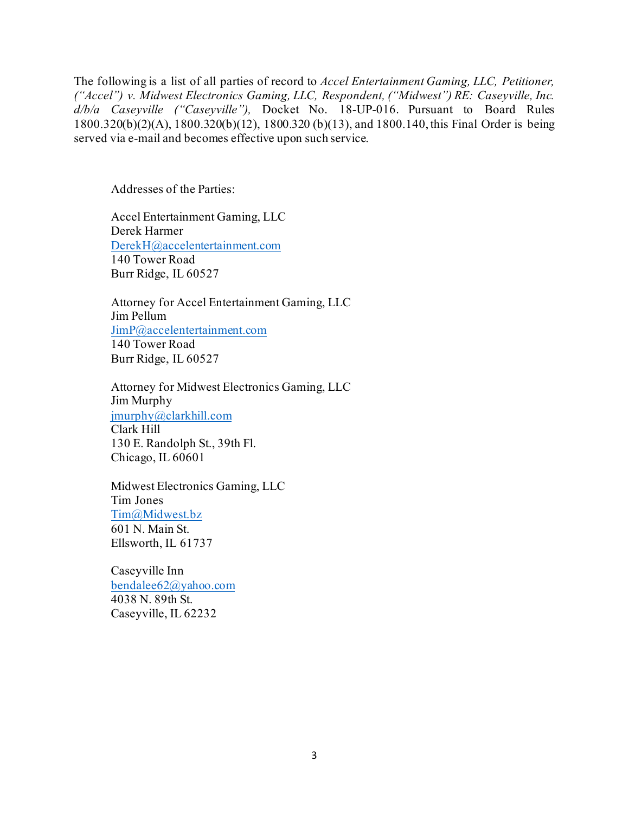The following is a list of all parties of record to *Accel Entertainment Gaming, LLC, Petitioner, ("Accel") v. Midwest Electronics Gaming, LLC, Respondent, ("Midwest") RE: Caseyville, Inc. d/b/a Caseyville ("Caseyville"),* Docket No. 18-UP-016. Pursuant to Board Rules 1800.320(b)(2)(A), 1800.320(b)(12), 1800.320 (b)(13), and 1800.140, this Final Order is being served via e-mail and becomes effective upon such service.

Addresses of the Parties:

Accel Entertainment Gaming, LLC Derek Harmer [DerekH@accelentertainment.com](mailto:DerekH@accelentertainment.com) 140 Tower Road Burr Ridge, IL 60527

Attorney for Accel Entertainment Gaming, LLC Jim Pellum [JimP@accelentertainment.com](mailto:JimP@accelentertainment.com) 140 Tower Road Burr Ridge, IL 60527

Attorney for Midwest Electronics Gaming, LLC Jim Murphy [jmurphy@clarkhill.com](mailto:jmurphy@clarkhill.com) Clark Hill 130 E. Randolph St., 39th Fl. Chicago, IL 60601

Midwest Electronics Gaming, LLC Tim Jones [Tim@Midwest.bz](mailto:Tim@Midwest.bz) 601 N. Main St. Ellsworth, IL 61737

Caseyville Inn [bendalee62@yahoo.com](mailto:bendalee62@yahoo.com) 4038 N. 89th St. Caseyville, IL 62232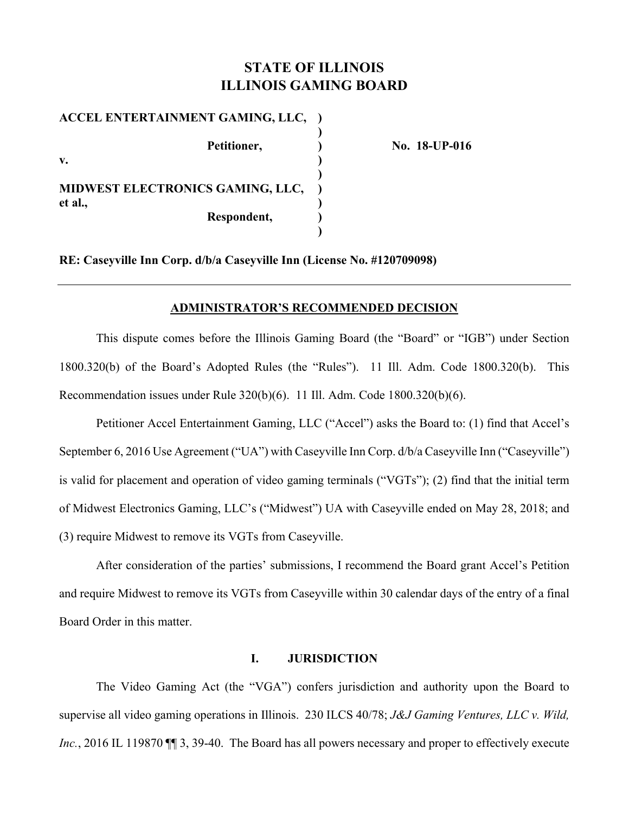# **STATE OF ILLINOIS ILLINOIS GAMING BOARD**

**ACCEL ENTERTAINMENT GAMING, LLC, ) ) ) ) Petitioner, 2008 No. 18-UP-016 v. ) ) MIDWEST ELECTRONICS GAMING, LLC, ) et al., ) Respondent, ) )** 

**RE: Caseyville Inn Corp. d/b/a Caseyville Inn (License No. #120709098)** 

#### **ADMINISTRATOR'S RECOMMENDED DECISION**

This dispute comes before the Illinois Gaming Board (the "Board" or "IGB") under Section 1800.320(b) of the Board's Adopted Rules (the "Rules"). 11 Ill. Adm. Code 1800.320(b). This Recommendation issues under Rule 320(b)(6). 11 Ill. Adm. Code 1800.320(b)(6).

Petitioner Accel Entertainment Gaming, LLC ("Accel") asks the Board to: (1) find that Accel's September 6, 2016 Use Agreement ("UA") with Caseyville Inn Corp. d/b/a Caseyville Inn ("Caseyville") is valid for placement and operation of video gaming terminals ("VGTs"); (2) find that the initial term of Midwest Electronics Gaming, LLC's ("Midwest") UA with Caseyville ended on May 28, 2018; and (3) require Midwest to remove its VGTs from Caseyville.

After consideration of the parties' submissions, I recommend the Board grant Accel's Petition and require Midwest to remove its VGTs from Caseyville within 30 calendar days of the entry of a final Board Order in this matter.

#### **I. JURISDICTION**

The Video Gaming Act (the "VGA") confers jurisdiction and authority upon the Board to supervise all video gaming operations in Illinois. 230 ILCS 40/78; *J&J Gaming Ventures, LLC v. Wild, Inc.*, 2016 IL 119870  $\P$  3, 39-40. The Board has all powers necessary and proper to effectively execute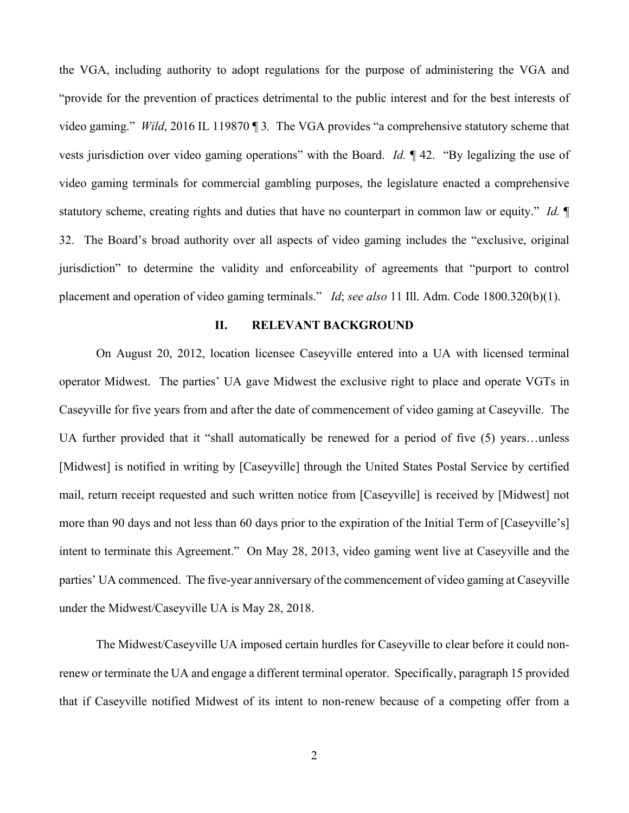the VGA, including authority to adopt regulations for the purpose of administering the VGA and "provide for the prevention of practices detrimental to the public interest and for the best interests of video gaming." *Wild*, 2016 IL 119870 ¶ 3*.* The VGA provides "a comprehensive statutory scheme that vests jurisdiction over video gaming operations" with the Board. *Id.* ¶ 42. "By legalizing the use of video gaming terminals for commercial gambling purposes, the legislature enacted a comprehensive statutory scheme, creating rights and duties that have no counterpart in common law or equity." *Id.* ¶ 32. The Board's broad authority over all aspects of video gaming includes the "exclusive, original jurisdiction" to determine the validity and enforceability of agreements that "purport to control placement and operation of video gaming terminals." *Id*; *see also* 11 Ill. Adm. Code 1800.320(b)(1).

#### **II. RELEVANT BACKGROUND**

On August 20, 2012, location licensee Caseyville entered into a UA with licensed terminal operator Midwest. The parties' UA gave Midwest the exclusive right to place and operate VGTs in Caseyville for five years from and after the date of commencement of video gaming at Caseyville. The UA further provided that it "shall automatically be renewed for a period of five (5) years…unless [Midwest] is notified in writing by [Caseyville] through the United States Postal Service by certified mail, return receipt requested and such written notice from [Caseyville] is received by [Midwest] not more than 90 days and not less than 60 days prior to the expiration of the Initial Term of [Caseyville's] intent to terminate this Agreement." On May 28, 2013, video gaming went live at Caseyville and the parties' UA commenced. The five-year anniversary of the commencement of video gaming at Caseyville under the Midwest/Caseyville UA is May 28, 2018.

The Midwest/Caseyville UA imposed certain hurdles for Caseyville to clear before it could nonrenew or terminate the UA and engage a different terminal operator. Specifically, paragraph 15 provided that if Caseyville notified Midwest of its intent to non-renew because of a competing offer from a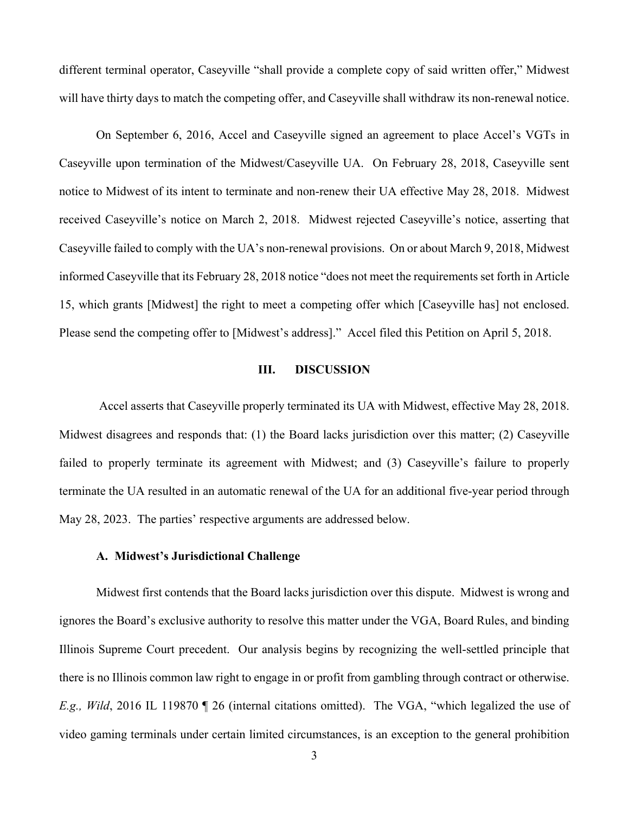different terminal operator, Caseyville "shall provide a complete copy of said written offer," Midwest will have thirty days to match the competing offer, and Caseyville shall withdraw its non-renewal notice.

On September 6, 2016, Accel and Caseyville signed an agreement to place Accel's VGTs in Caseyville upon termination of the Midwest/Caseyville UA. On February 28, 2018, Caseyville sent notice to Midwest of its intent to terminate and non-renew their UA effective May 28, 2018. Midwest received Caseyville's notice on March 2, 2018. Midwest rejected Caseyville's notice, asserting that Caseyville failed to comply with the UA's non-renewal provisions. On or about March 9, 2018, Midwest informed Caseyville that its February 28, 2018 notice "does not meet the requirements set forth in Article 15, which grants [Midwest] the right to meet a competing offer which [Caseyville has] not enclosed. Please send the competing offer to [Midwest's address]." Accel filed this Petition on April 5, 2018.

#### **III. DISCUSSION**

 Accel asserts that Caseyville properly terminated its UA with Midwest, effective May 28, 2018. Midwest disagrees and responds that: (1) the Board lacks jurisdiction over this matter; (2) Caseyville failed to properly terminate its agreement with Midwest; and (3) Caseyville's failure to properly terminate the UA resulted in an automatic renewal of the UA for an additional five-year period through May 28, 2023. The parties' respective arguments are addressed below.

#### **A. Midwest's Jurisdictional Challenge**

Midwest first contends that the Board lacks jurisdiction over this dispute. Midwest is wrong and ignores the Board's exclusive authority to resolve this matter under the VGA, Board Rules, and binding Illinois Supreme Court precedent. Our analysis begins by recognizing the well-settled principle that there is no Illinois common law right to engage in or profit from gambling through contract or otherwise. *E.g., Wild*, 2016 IL 119870 ¶ 26 (internal citations omitted). The VGA, "which legalized the use of video gaming terminals under certain limited circumstances, is an exception to the general prohibition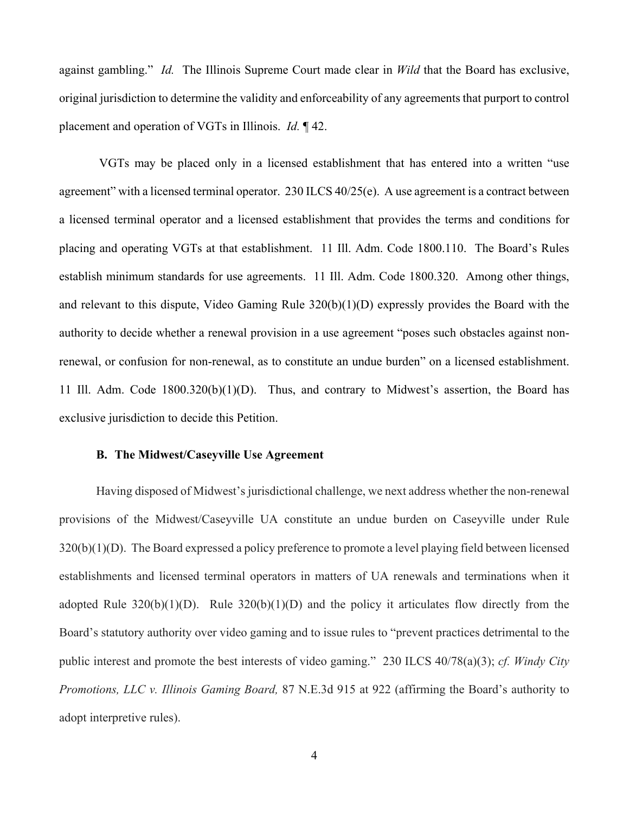against gambling." *Id.* The Illinois Supreme Court made clear in *Wild* that the Board has exclusive, original jurisdiction to determine the validity and enforceability of any agreements that purport to control placement and operation of VGTs in Illinois. *Id.* ¶ 42.

 VGTs may be placed only in a licensed establishment that has entered into a written "use agreement" with a licensed terminal operator. 230 ILCS 40/25(e). A use agreement is a contract between a licensed terminal operator and a licensed establishment that provides the terms and conditions for placing and operating VGTs at that establishment. 11 Ill. Adm. Code 1800.110. The Board's Rules establish minimum standards for use agreements. 11 Ill. Adm. Code 1800.320. Among other things, and relevant to this dispute, Video Gaming Rule 320(b)(1)(D) expressly provides the Board with the authority to decide whether a renewal provision in a use agreement "poses such obstacles against nonrenewal, or confusion for non-renewal, as to constitute an undue burden" on a licensed establishment. 11 Ill. Adm. Code 1800.320(b)(1)(D). Thus, and contrary to Midwest's assertion, the Board has exclusive jurisdiction to decide this Petition.

#### **B. The Midwest/Caseyville Use Agreement**

Having disposed of Midwest's jurisdictional challenge, we next address whether the non-renewal provisions of the Midwest/Caseyville UA constitute an undue burden on Caseyville under Rule 320(b)(1)(D). The Board expressed a policy preference to promote a level playing field between licensed establishments and licensed terminal operators in matters of UA renewals and terminations when it adopted Rule  $320(b)(1)(D)$ . Rule  $320(b)(1)(D)$  and the policy it articulates flow directly from the Board's statutory authority over video gaming and to issue rules to "prevent practices detrimental to the public interest and promote the best interests of video gaming." 230 ILCS 40/78(a)(3); *cf. Windy City Promotions, LLC v. Illinois Gaming Board,* 87 N.E.3d 915 at 922 (affirming the Board's authority to adopt interpretive rules).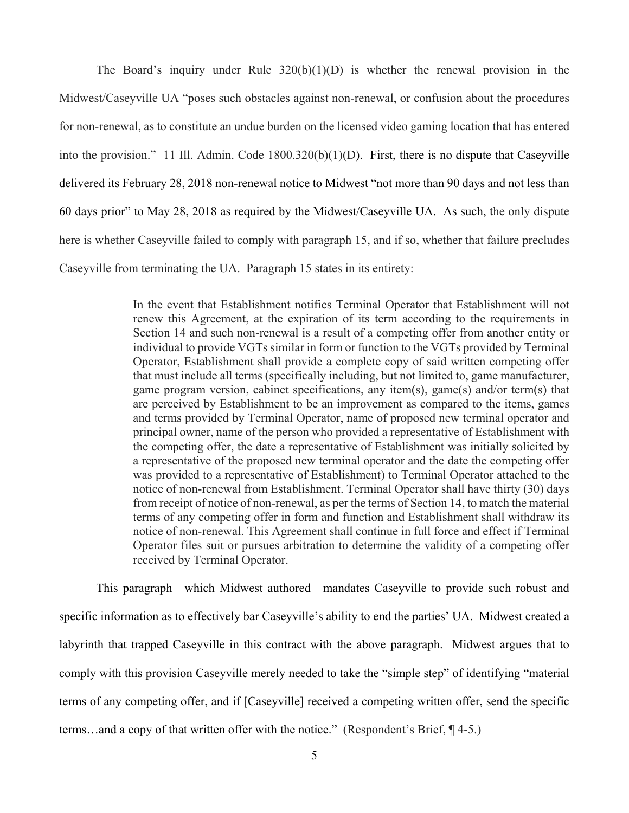The Board's inquiry under Rule  $320(b)(1)(D)$  is whether the renewal provision in the Midwest/Caseyville UA "poses such obstacles against non-renewal, or confusion about the procedures for non-renewal, as to constitute an undue burden on the licensed video gaming location that has entered into the provision." 11 Ill. Admin. Code 1800.320(b)(1)(D). First, there is no dispute that Caseyville delivered its February 28, 2018 non-renewal notice to Midwest "not more than 90 days and not less than 60 days prior" to May 28, 2018 as required by the Midwest/Caseyville UA. As such, the only dispute here is whether Caseyville failed to comply with paragraph 15, and if so, whether that failure precludes Caseyville from terminating the UA. Paragraph 15 states in its entirety:

> In the event that Establishment notifies Terminal Operator that Establishment will not renew this Agreement, at the expiration of its term according to the requirements in Section 14 and such non-renewal is a result of a competing offer from another entity or individual to provide VGTs similar in form or function to the VGTs provided by Terminal Operator, Establishment shall provide a complete copy of said written competing offer that must include all terms (specifically including, but not limited to, game manufacturer, game program version, cabinet specifications, any item(s), game(s) and/or term(s) that are perceived by Establishment to be an improvement as compared to the items, games and terms provided by Terminal Operator, name of proposed new terminal operator and principal owner, name of the person who provided a representative of Establishment with the competing offer, the date a representative of Establishment was initially solicited by a representative of the proposed new terminal operator and the date the competing offer was provided to a representative of Establishment) to Terminal Operator attached to the notice of non-renewal from Establishment. Terminal Operator shall have thirty (30) days from receipt of notice of non-renewal, as per the terms of Section 14, to match the material terms of any competing offer in form and function and Establishment shall withdraw its notice of non-renewal. This Agreement shall continue in full force and effect if Terminal Operator files suit or pursues arbitration to determine the validity of a competing offer received by Terminal Operator.

This paragraph—which Midwest authored—mandates Caseyville to provide such robust and specific information as to effectively bar Caseyville's ability to end the parties' UA. Midwest created a labyrinth that trapped Caseyville in this contract with the above paragraph. Midwest argues that to comply with this provision Caseyville merely needed to take the "simple step" of identifying "material terms of any competing offer, and if [Caseyville] received a competing written offer, send the specific terms…and a copy of that written offer with the notice." (Respondent's Brief, ¶ 4-5.)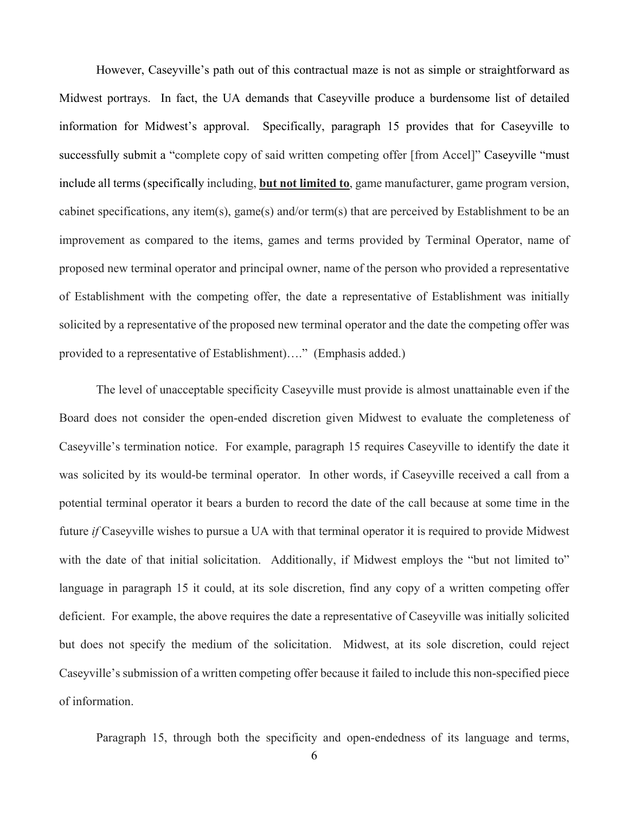However, Caseyville's path out of this contractual maze is not as simple or straightforward as Midwest portrays. In fact, the UA demands that Caseyville produce a burdensome list of detailed information for Midwest's approval. Specifically, paragraph 15 provides that for Caseyville to successfully submit a "complete copy of said written competing offer [from Accel]" Caseyville "must include all terms (specifically including, **but not limited to**, game manufacturer, game program version, cabinet specifications, any item(s), game(s) and/or term(s) that are perceived by Establishment to be an improvement as compared to the items, games and terms provided by Terminal Operator, name of proposed new terminal operator and principal owner, name of the person who provided a representative of Establishment with the competing offer, the date a representative of Establishment was initially solicited by a representative of the proposed new terminal operator and the date the competing offer was provided to a representative of Establishment)…." (Emphasis added.)

The level of unacceptable specificity Caseyville must provide is almost unattainable even if the Board does not consider the open-ended discretion given Midwest to evaluate the completeness of Caseyville's termination notice. For example, paragraph 15 requires Caseyville to identify the date it was solicited by its would-be terminal operator. In other words, if Caseyville received a call from a potential terminal operator it bears a burden to record the date of the call because at some time in the future *if* Caseyville wishes to pursue a UA with that terminal operator it is required to provide Midwest with the date of that initial solicitation. Additionally, if Midwest employs the "but not limited to" language in paragraph 15 it could, at its sole discretion, find any copy of a written competing offer deficient. For example, the above requires the date a representative of Caseyville was initially solicited but does not specify the medium of the solicitation. Midwest, at its sole discretion, could reject Caseyville's submission of a written competing offer because it failed to include this non-specified piece of information.

Paragraph 15, through both the specificity and open-endedness of its language and terms,